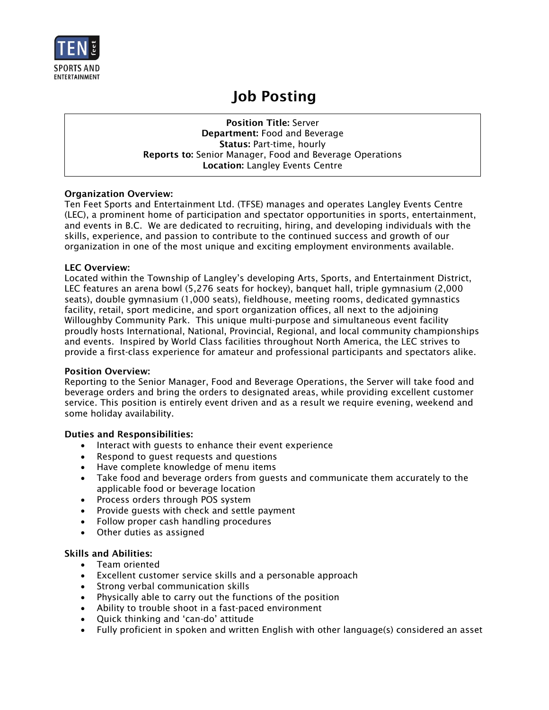

# Job Posting

Position Title: Server Department: Food and Beverage Status: Part-time, hourly Reports to: Senior Manager, Food and Beverage Operations Location: Langley Events Centre

## Organization Overview:

Ten Feet Sports and Entertainment Ltd. (TFSE) manages and operates Langley Events Centre (LEC), a prominent home of participation and spectator opportunities in sports, entertainment, and events in B.C. We are dedicated to recruiting, hiring, and developing individuals with the skills, experience, and passion to contribute to the continued success and growth of our organization in one of the most unique and exciting employment environments available.

## LEC Overview:

Located within the Township of Langley's developing Arts, Sports, and Entertainment District, LEC features an arena bowl (5,276 seats for hockey), banquet hall, triple gymnasium (2,000 seats), double gymnasium (1,000 seats), fieldhouse, meeting rooms, dedicated gymnastics facility, retail, sport medicine, and sport organization offices, all next to the adjoining Willoughby Community Park. This unique multi-purpose and simultaneous event facility proudly hosts International, National, Provincial, Regional, and local community championships and events. Inspired by World Class facilities throughout North America, the LEC strives to provide a first-class experience for amateur and professional participants and spectators alike.

#### Position Overview:

Reporting to the Senior Manager, Food and Beverage Operations, the Server will take food and beverage orders and bring the orders to designated areas, while providing excellent customer service. This position is entirely event driven and as a result we require evening, weekend and some holiday availability.

## Duties and Responsibilities:

- Interact with guests to enhance their event experience
- Respond to guest requests and questions
- Have complete knowledge of menu items
- Take food and beverage orders from guests and communicate them accurately to the applicable food or beverage location
- Process orders through POS system
- Provide guests with check and settle payment
- Follow proper cash handling procedures
- Other duties as assigned

## Skills and Abilities:

- Team oriented
- Excellent customer service skills and a personable approach
- Strong verbal communication skills
- Physically able to carry out the functions of the position
- Ability to trouble shoot in a fast-paced environment
- Quick thinking and 'can-do' attitude
- Fully proficient in spoken and written English with other language(s) considered an asset